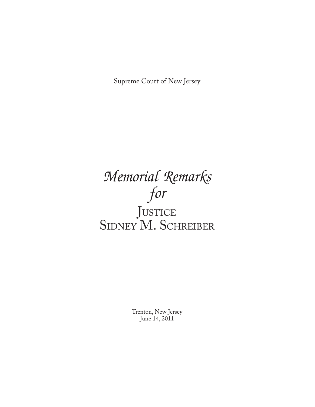Supreme Court of New Jersey

# *Memorial Remarks for* JUSTICE SIDNEY M. SCHREIBER

Trenton, New Jersey June 14, 2011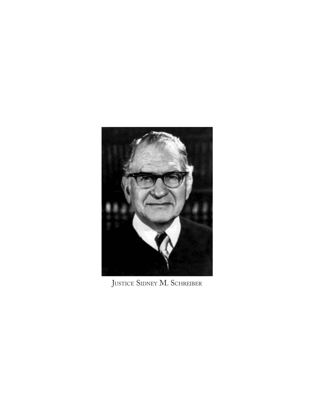

JUSTICE SIDNEY M. SCHREIBER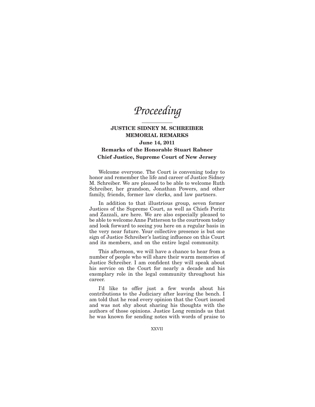*Proceeding*

# **JUSTICE SIDNEY M. SCHREIBER MEMORIAL REMARKS June 14, 2011 Remarks of the Honorable Stuart Rabner Chief Justice, Supreme Court of New Jersey**

Welcome everyone. The Court is convening today to honor and remember the life and career of Justice Sidney M. Schreiber. We are pleased to be able to welcome Ruth Schreiber, her grandson, Jonathan Powers, and other family, friends, former law clerks, and law partners.

In addition to that illustrious group, seven former Justices of the Supreme Court, as well as Chiefs Poritz and Zazzali, are here. We are also especially pleased to be able to welcome Anne Patterson to the courtroom today and look forward to seeing you here on a regular basis in the very near future. Your collective presence is but one sign of Justice Schreiber's lasting influence on this Court and its members, and on the entire legal community.

This afternoon, we will have a chance to hear from a number of people who will share their warm memories of Justice Schreiber. I am confident they will speak about his service on the Court for nearly a decade and his exemplary role in the legal community throughout his career.

I'd like to offer just a few words about his contributions to the Judiciary after leaving the bench. I am told that he read every opinion that the Court issued and was not shy about sharing his thoughts with the authors of those opinions. Justice Long reminds us that he was known for sending notes with words of praise to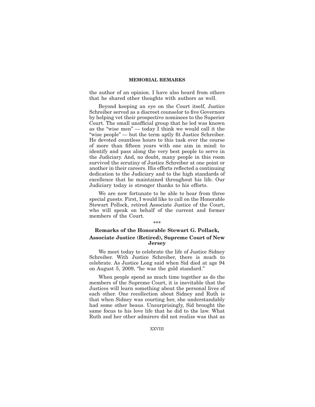the author of an opinion. I have also heard from others that he shared other thoughts with authors as well.

Beyond keeping an eye on the Court itself, Justice Schreiber served as a discreet counselor to five Governors by helping vet their prospective nominees to the Superior Court. The small unofficial group that he led was known as the "wise men" — today I think we would call it the "wise people" — but the term aptly fit Justice Schreiber. He devoted countless hours to this task over the course of more than fifteen years with one aim in mind: to identify and pass along the very best people to serve in the Judiciary. And, no doubt, many people in this room survived the scrutiny of Justice Schreiber at one point or another in their careers. His efforts reflected a continuing dedication to the Judiciary and to the high standards of excellence that he maintained throughout his life. Our Judiciary today is stronger thanks to his efforts.

We are now fortunate to be able to hear from three special guests. First, I would like to call on the Honorable Stewart Pollock, retired Associate Justice of the Court, who will speak on behalf of the current and former members of the Court.

# **Remarks of the Honorable Stewart G. Pollack, Associate Justice (Retired), Supreme Court of New Jersey**

**\*\*\***

We meet today to celebrate the life of Justice Sidney Schreiber. With Justice Schreiber, there is much to celebrate. As Justice Long said when Sid died at age 94 on August 5, 2009, ''he was the gold standard.''

When people spend as much time together as do the members of the Supreme Court, it is inevitable that the Justices will learn something about the personal lives of each other. One recollection about Sidney and Ruth is that when Sidney was courting her, she understandably had some other beaus. Unsurprisingly, Sid brought the same focus to his love life that he did to the law. What Ruth and her other admirers did not realize was that as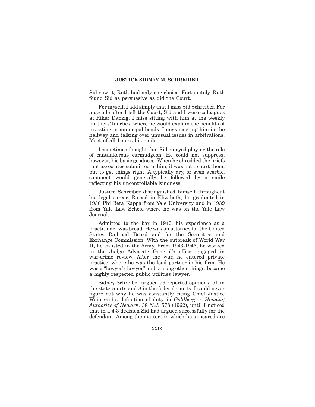Sid saw it, Ruth had only one choice. Fortunately, Ruth found Sid as persuasive as did the Court.

For myself, I add simply that I miss Sid Schreiber. For a decade after I left the Court, Sid and I were colleagues at Riker Danzig. I miss sitting with him at the weekly partners' lunches, where he would explain the benefits of investing in municipal bonds. I miss meeting him in the hallway and talking over unusual issues in arbitrations. Most of all I miss his smile.

I sometimes thought that Sid enjoyed playing the role of cantankerous curmudgeon. He could not suppress, however, his basic goodness. When he shredded the briefs that associates submitted to him, it was not to hurt them, but to get things right. A typically dry, or even acerbic, comment would generally be followed by a smile reflecting his uncontrollable kindness.

Justice Schreiber distinguished himself throughout his legal career. Raised in Elizabeth, he graduated in 1936 Phi Beta Kappa from Yale University and in 1939 from Yale Law School where he was on the Yale Law Journal.

Admitted to the bar in 1940, his experience as a practitioner was broad. He was an attorney for the United States Railroad Board and for the Securities and Exchange Commission. With the outbreak of World War II, he enlisted in the Army. From 1943-1946, he worked in the Judge Advocate General's office, engaged in war-crime review. After the war, he entered private practice, where he was the lead partner in his firm. He was a ''lawyer's lawyer'' and, among other things, became a highly respected public utilities lawyer.

Sidney Schreiber argued 59 reported opinions, 51 in the state courts and 8 in the federal courts. I could never figure out why he was constantly citing Chief Justice Weintraub's definition of duty in *Goldberg v. Housing Authority of Newark*, 38 *N.J.* 578 (1962), until I noticed that in a 4-3 decision Sid had argued successfully for the defendant. Among the matters in which he appeared are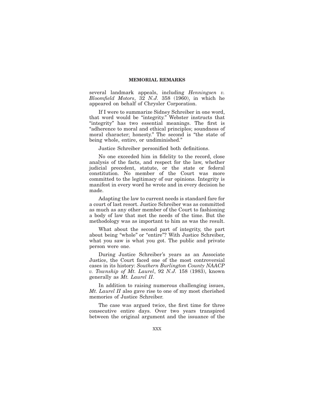several landmark appeals, including *Henningsen v. Bloomfield Motors*, 32 *N.J.* 358 (1960), in which he appeared on behalf of Chrysler Corporation.

If I were to summarize Sidney Schreiber in one word, that word would be ''integrity.'' Webster instructs that "integrity" has two essential meanings. The first is "adherence to moral and ethical principles; soundness of moral character; honesty." The second is "the state of being whole, entire, or undiminished.''

Justice Schreiber personified both definitions.

No one exceeded him in fidelity to the record, close analysis of the facts, and respect for the law, whether judicial precedent, statute, or the state or federal constitution. No member of the Court was more committed to the legitimacy of our opinions. Integrity is manifest in every word he wrote and in every decision he made.

Adapting the law to current needs is standard fare for a court of last resort. Justice Schreiber was as committed as much as any other member of the Court to fashioning a body of law that met the needs of the time. But the methodology was as important to him as was the result.

What about the second part of integrity, the part about being "whole" or "entire"? With Justice Schreiber, what you saw is what you got. The public and private person were one.

During Justice Schreiber's years as an Associate Justice, the Court faced one of the most controversial cases in its history: *Southern Burlington County NAACP v. Township of Mt. Laurel*, 92 *N.J.* 158 (1983), known generally as *Mt. Laurel II*.

In addition to raising numerous challenging issues, *Mt. Laurel II* also gave rise to one of my most cherished memories of Justice Schreiber.

The case was argued twice, the first time for three consecutive entire days. Over two years transpired between the original argument and the issuance of the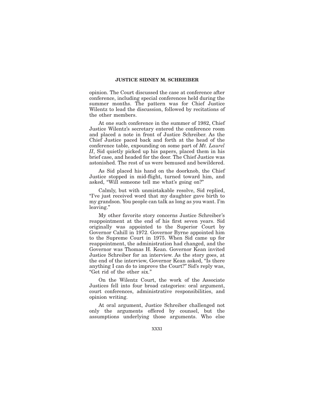opinion. The Court discussed the case at conference after conference, including special conferences held during the summer months. The pattern was for Chief Justice Wilentz to lead the discussion, followed by recitations of the other members.

At one such conference in the summer of 1982, Chief Justice Wilentz's secretary entered the conference room and placed a note in front of Justice Schreiber. As the Chief Justice paced back and forth at the head of the conference table, expounding on some part of *Mt. Laurel II*, Sid quietly picked up his papers, placed them in his brief case, and headed for the door. The Chief Justice was astonished. The rest of us were bemused and bewildered.

As Sid placed his hand on the doorknob, the Chief Justice stopped in mid-flight, turned toward him, and asked, ''Will someone tell me what's going on?''

Calmly, but with unmistakable resolve, Sid replied, ''I've just received word that my daughter gave birth to my grandson. You people can talk as long as you want. I'm leaving.''

My other favorite story concerns Justice Schreiber's reappointment at the end of his first seven years. Sid originally was appointed to the Superior Court by Governor Cahill in 1972. Governor Byrne appointed him to the Supreme Court in 1975. When Sid came up for reappointment, the administration had changed, and the Governor was Thomas H. Kean. Governor Kean invited Justice Schreiber for an interview. As the story goes, at the end of the interview, Governor Kean asked, ''Is there anything I can do to improve the Court?'' Sid's reply was, ''Get rid of the other six.''

On the Wilentz Court, the work of the Associate Justices fell into four broad categories: oral argument, court conferences, administrative responsibilities, and opinion writing.

At oral argument, Justice Schreiber challenged not only the arguments offered by counsel, but the assumptions underlying those arguments. Who else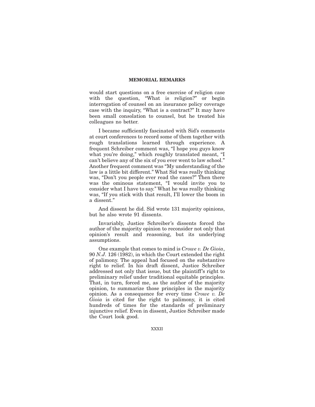would start questions on a free exercise of religion case with the question, "What is religion?" or begin interrogation of counsel on an insurance policy coverage case with the inquiry, "What is a contract?" It may have been small consolation to counsel, but he treated his colleagues no better.

I became sufficiently fascinated with Sid's comments at court conferences to record some of them together with rough translations learned through experience. A frequent Schreiber comment was, "I hope you guys know what you're doing,'' which roughly translated meant, ''I can't believe any of the six of you ever went to law school.'' Another frequent comment was ''My understanding of the law is a little bit different.'' What Sid was really thinking was, "Don't you people ever read the cases?" Then there was the ominous statement, "I would invite you to consider what I have to say.'' What he was really thinking was, ''If you stick with that result, I'll lower the boom in a dissent.''

And dissent he did. Sid wrote 131 majority opinions, but he also wrote 91 dissents.

Invariably, Justice Schreiber's dissents forced the author of the majority opinion to reconsider not only that opinion's result and reasoning, but its underlying assumptions.

One example that comes to mind is *Crowe v. De Gioia*, 90 *N.J.* 126 (1982), in which the Court extended the right of palimony. The appeal had focused on the substantive right to relief. In his draft dissent, Justice Schreiber addressed not only that issue, but the plaintiff's right to preliminary relief under traditional equitable principles. That, in turn, forced me, as the author of the majority opinion, to summarize those principles in the majority opinion. As a consequence for every time *Crowe v. De Gioia* is cited for the right to palimony, it is cited hundreds of times for the standards of preliminary injunctive relief. Even in dissent, Justice Schreiber made the Court look good.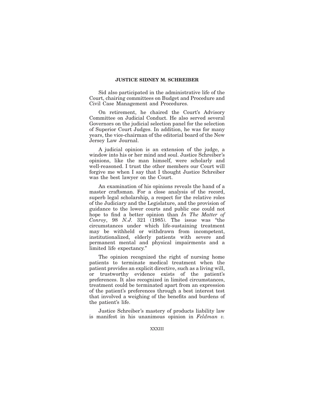Sid also participated in the administrative life of the Court, chairing committees on Budget and Procedure and Civil Case Management and Procedures.

On retirement, he chaired the Court's Advisory Committee on Judicial Conduct. He also served several Governors on the judicial selection panel for the selection of Superior Court Judges. In addition, he was for many years, the vice-chairman of the editorial board of the New Jersey Law Journal.

A judicial opinion is an extension of the judge, a window into his or her mind and soul. Justice Schreiber's opinions, like the man himself, were scholarly and well-reasoned. I trust the other members our Court will forgive me when I say that I thought Justice Schreiber was the best lawyer on the Court.

An examination of his opinions reveals the hand of a master craftsman. For a close analysis of the record, superb legal scholarship, a respect for the relative roles of the Judiciary and the Legislature, and the provision of guidance to the lower courts and public one could not hope to find a better opinion than *In The Matter of Conroy*, 98 *N.J.* 321 (1985). The issue was ''the circumstances under which life-sustaining treatment may be withheld or withdrawn from incompetent, institutionalized, elderly patients with severe and permanent mental and physical impairments and a limited life expectancy.''

The opinion recognized the right of nursing home patients to terminate medical treatment when the patient provides an explicit directive, such as a living will, or trustworthy evidence exists of the patient's preferences. It also recognized in limited circumstances, treatment could be terminated apart from an expression of the patient's preferences through a best interest test that involved a weighing of the benefits and burdens of the patient's life.

Justice Schreiber's mastery of products liability law is manifest in his unanimous opinion in *Feldman v.*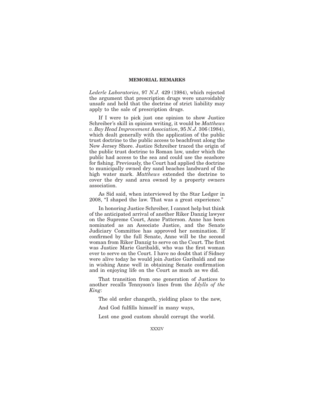*Lederle Laboratories*, 97 *N.J.* 429 (1984), which rejected the argument that prescription drugs were unavoidably unsafe and held that the doctrine of strict liability may apply to the sale of prescription drugs.

If I were to pick just one opinion to show Justice Schreiber's skill in opinion writing, it would be *Matthews v. Bay Head Improvement Association*, 95 *N.J.* 306 (1984), which dealt generally with the application of the public trust doctrine to the public access to beachfront along the New Jersey Shore. Justice Schreiber traced the origin of the public trust doctrine to Roman law, under which the public had access to the sea and could use the seashore for fishing. Previously, the Court had applied the doctrine to municipally owned dry sand beaches landward of the high water mark. *Matthews* extended the doctrine to cover the dry sand area owned by a property owners association.

As Sid said, when interviewed by the Star Ledger in 2008, "I shaped the law. That was a great experience."

In honoring Justice Schreiber, I cannot help but think of the anticipated arrival of another Riker Danzig lawyer on the Supreme Court, Anne Patterson. Anne has been nominated as an Associate Justice, and the Senate Judiciary Committee has approved her nomination. If confirmed by the full Senate, Anne will be the second woman from Riker Danzig to serve on the Court. The first was Justice Marie Garibaldi, who was the first woman ever to serve on the Court. I have no doubt that if Sidney were alive today he would join Justice Garibaldi and me in wishing Anne well in obtaining Senate confirmation and in enjoying life on the Court as much as we did.

That transition from one generation of Justices to another recalls Tennyson's lines from the *Idylls of the King*:

The old order changeth, yielding place to the new,

And God fulfills himself in many ways,

Lest one good custom should corrupt the world.

XXXIV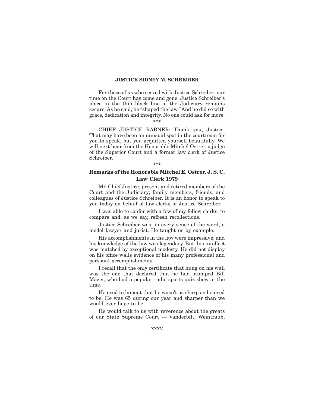For those of us who served with Justice Schreiber, our time on the Court has come and gone. Justice Schreiber's place in the thin black line of the Judiciary remains secure. As he said, he "shaped the law." And he did so with grace, dedication and integrity. No one could ask for more.

## **\*\*\***

CHIEF JUSTICE RABNER: Thank you, Justice. That may have been an unusual spot in the courtroom for you to speak, but you acquitted yourself beautifully. We will next hear from the Honorable Mitchel Ostrer, a judge of the Superior Court and a former law clerk of Justice Schreiber.

#### **\*\*\***

# **Remarks of the Honorable Mitchel E. Ostrer, J. S. C. Law Clerk 1979**

Mr. Chief Justice; present and retired members of the Court and the Judiciary; family members, friends, and colleagues of Justice Schreiber. It is an honor to speak to you today on behalf of law clerks of Justice Schreiber.

I was able to confer with a few of my fellow clerks, to compare and, as we say, refresh recollections.

Justice Schreiber was, in every sense of the word, a model lawyer and jurist. He taught us by example.

His accomplishments in the law were impressive; and his knowledge of the law was legendary. But, his intellect was matched by exceptional modesty. He did not display on his office walls evidence of his many professional and personal accomplishments.

I recall that the only certificate that hung on his wall was the one that declared that he had stumped Bill Mazer, who had a popular radio sports quiz show at the time.

He used to lament that he wasn't as sharp as he used to be. He was 65 during our year and sharper than we would ever hope to be.

He would talk to us with reverence about the greats of our State Supreme Court — Vanderbilt, Weintraub,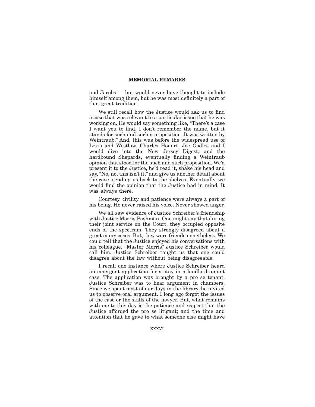and Jacobs — but would never have thought to include himself among them, but he was most definitely a part of that great tradition.

We still recall how the Justice would ask us to find a case that was relevant to a particular issue that he was working on. He would say something like, "There's a case I want you to find. I don't remember the name, but it stands for such and such a proposition. It was written by Weintraub.'' And, this was before the widespread use of Lexis and Westlaw. Charles Honart, Joe Godles and I would dive into the New Jersey Digest; and the hardbound Shepards, eventually finding a Weintraub opinion that stood for the such and such proposition. We'd present it to the Justice, he'd read it, shake his head and say, "No, no, this isn't it," and give us another detail about the case, sending us back to the shelves. Eventually, we would find the opinion that the Justice had in mind. It was always there.

Courtesy, civility and patience were always a part of his being. He never raised his voice. Never showed anger.

We all saw evidence of Justice Schreiber's friendship with Justice Morris Pashman. One might say that during their joint service on the Court, they occupied opposite ends of the spectrum. They strongly disagreed about a great many cases. But, they were friends nonetheless. We could tell that the Justice enjoyed his conversations with his colleague. ''Master Morris'' Justice Schreiber would call him. Justice Schreiber taught us that one could disagree about the law without being disagreeable.

I recall one instance where Justice Schreiber heard an emergent application for a stay in a landlord-tenant case. The application was brought by a pro se tenant. Justice Schreiber was to hear argument in chambers. Since we spent most of our days in the library, he invited us to observe oral argument. I long ago forgot the issues of the case or the skills of the lawyer. But, what remains with me to this day is the patience and respect that the Justice afforded the pro se litigant; and the time and attention that he gave to what someone else might have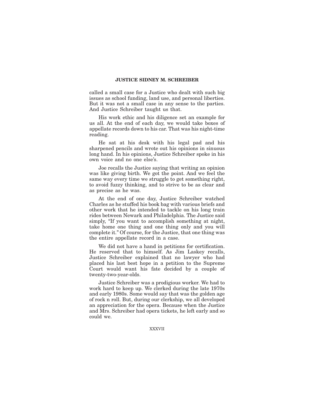called a small case for a Justice who dealt with such big issues as school funding, land use, and personal liberties. But it was not a small case in any sense to the parties. And Justice Schreiber taught us that.

His work ethic and his diligence set an example for us all. At the end of each day, we would take boxes of appellate records down to his car. That was his night-time reading.

He sat at his desk with his legal pad and his sharpened pencils and wrote out his opinions in sinuous long hand. In his opinions, Justice Schreiber spoke in his own voice and no one else's.

Joe recalls the Justice saying that writing an opinion was like giving birth. We got the point. And we feel the same way every time we struggle to get something right, to avoid fuzzy thinking, and to strive to be as clear and as precise as he was.

At the end of one day, Justice Schreiber watched Charles as he stuffed his book bag with various briefs and other work that he intended to tackle on his long train rides between Newark and Philadelphia. The Justice said simply, "If you want to accomplish something at night, take home one thing and one thing only and you will complete it.'' Of course, for the Justice, that one thing was the entire appellate record in a case.

We did not have a hand in petitions for certification. He reserved that to himself. As Jim Laskey recalls, Justice Schreiber explained that no lawyer who had placed his last best hope in a petition to the Supreme Court would want his fate decided by a couple of twenty-two-year-olds.

Justice Schreiber was a prodigious worker. We had to work hard to keep up. We clerked during the late 1970s and early 1980s. Some would say that was the golden age of rock n roll. But, during our clerkship, we all developed an appreciation for the opera. Because when the Justice and Mrs. Schreiber had opera tickets, he left early and so could we.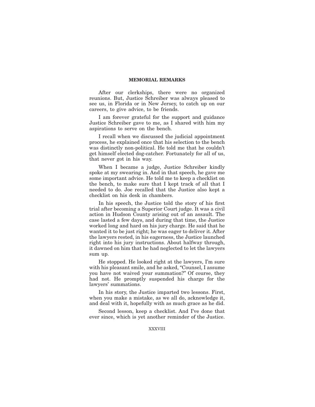After our clerkships, there were no organized reunions. But, Justice Schreiber was always pleased to see us, in Florida or in New Jersey, to catch up on our careers, to give advice, to be friends.

I am forever grateful for the support and guidance Justice Schreiber gave to me, as I shared with him my aspirations to serve on the bench.

I recall when we discussed the judicial appointment process, he explained once that his selection to the bench was distinctly non-political. He told me that he couldn't get himself elected dog-catcher. Fortunately for all of us, that never got in his way.

When I became a judge, Justice Schreiber kindly spoke at my swearing in. And in that speech, he gave me some important advice. He told me to keep a checklist on the bench, to make sure that I kept track of all that I needed to do. Joe recalled that the Justice also kept a checklist on his desk in chambers.

In his speech, the Justice told the story of his first trial after becoming a Superior Court judge. It was a civil action in Hudson County arising out of an assault. The case lasted a few days, and during that time, the Justice worked long and hard on his jury charge. He said that he wanted it to be just right; he was eager to deliver it. After the lawyers rested, in his eagerness, the Justice launched right into his jury instructions. About halfway through, it dawned on him that he had neglected to let the lawyers sum up.

He stopped. He looked right at the lawyers, I'm sure with his pleasant smile, and he asked, "Counsel, I assume you have not waived your summation?'' Of course, they had not. He promptly suspended his charge for the lawyers' summations.

In his story, the Justice imparted two lessons. First, when you make a mistake, as we all do, acknowledge it, and deal with it, hopefully with as much grace as he did.

Second lesson, keep a checklist. And I've done that ever since, which is yet another reminder of the Justice.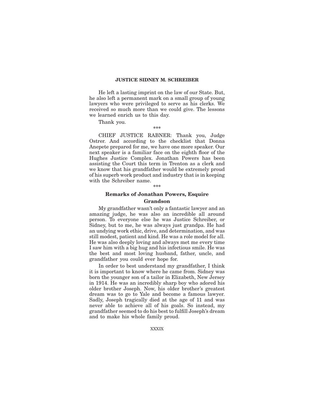He left a lasting imprint on the law of our State. But, he also left a permanent mark on a small group of young lawyers who were privileged to serve as his clerks. We received so much more than we could give. The lessons we learned enrich us to this day.

Thank you.

**\*\*\***

CHIEF JUSTICE RABNER: Thank you, Judge Ostrer. And according to the checklist that Donna Anepete prepared for me, we have one more speaker. Our next speaker is a familiar face on the eighth floor of the Hughes Justice Complex. Jonathan Powers has been assisting the Court this term in Trenton as a clerk and we know that his grandfather would be extremely proud of his superb work product and industry that is in keeping with the Schreiber name.

## **\*\*\***

## **Remarks of Jonathan Powers, Esquire Grandson**

My grandfather wasn't only a fantastic lawyer and an amazing judge, he was also an incredible all around person. To everyone else he was Justice Schreiber, or Sidney, but to me, he was always just grandpa. He had an undying work ethic, drive, and determination, and was still modest, patient and kind. He was a role model for all. He was also deeply loving and always met me every time I saw him with a big hug and his infectious smile. He was the best and most loving husband, father, uncle, and grandfather you could ever hope for.

In order to best understand my grandfather, I think it is important to know where he came from. Sidney was born the younger son of a tailor in Elizabeth, New Jersey in 1914. He was an incredibly sharp boy who adored his older brother Joseph. Now, his older brother's greatest dream was to go to Yale and become a famous lawyer. Sadly, Joseph tragically died at the age of 11 and was never able to achieve all of his goals. So instead, my grandfather seemed to do his best to fulfill Joseph's dream and to make his whole family proud.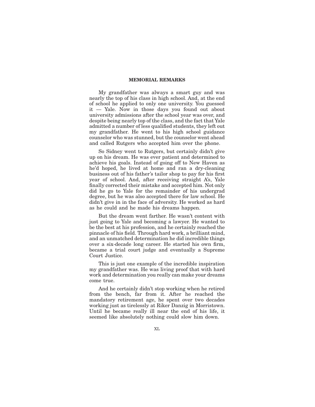My grandfather was always a smart guy and was nearly the top of his class in high school. And, at the end of school he applied to only one university. You guessed it — Yale. Now in those days you found out about university admissions after the school year was over, and despite being nearly top of the class, and the fact that Yale admitted a number of less qualified students, they left out my grandfather. He went to his high school guidance counselor who was stunned, but the counselor went ahead and called Rutgers who accepted him over the phone.

So Sidney went to Rutgers, but certainly didn't give up on his dream. He was ever patient and determined to achieve his goals. Instead of going off to New Haven as he'd hoped, he lived at home and ran a dry-cleaning business out of his father's tailor shop to pay for his first year of school. And, after receiving straight A's, Yale finally corrected their mistake and accepted him. Not only did he go to Yale for the remainder of his undergrad degree, but he was also accepted there for law school. He didn't give in in the face of adversity. He worked as hard as he could and he made his dreams happen.

But the dream went farther. He wasn't content with just going to Yale and becoming a lawyer. He wanted to be the best at his profession, and he certainly reached the pinnacle of his field. Through hard work, a brilliant mind, and an unmatched determination he did incredible things over a six-decade long career. He started his own firm, became a trial court judge and eventually a Supreme Court Justice.

This is just one example of the incredible inspiration my grandfather was. He was living proof that with hard work and determination you really can make your dreams come true.

And he certainly didn't stop working when he retired from the bench, far from it. After he reached the mandatory retirement age, he spent over two decades working just as tirelessly at Riker Danzig in Morristown. Until he became really ill near the end of his life, it seemed like absolutely nothing could slow him down.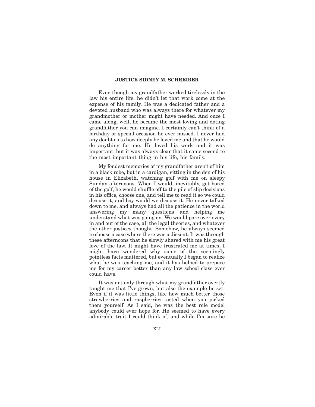Even though my grandfather worked tirelessly in the law his entire life, he didn't let that work come at the expense of his family. He was a dedicated father and a devoted husband who was always there for whatever my grandmother or mother might have needed. And once I came along, well, he became the most loving and doting grandfather you can imagine. I certainly can't think of a birthday or special occasion he ever missed. I never had any doubt as to how deeply he loved me and that he would do anything for me. He loved his work and it was important, but it was always clear that it came second to the most important thing in his life, his family.

My fondest memories of my grandfather aren't of him in a black robe, but in a cardigan, sitting in the den of his house in Elizabeth, watching golf with me on sleepy Sunday afternoons. When I would, inevitably, get bored of the golf, he would shuffle off to the pile of slip decisions in his office, choose one, and tell me to read it so we could discuss it, and boy would we discuss it. He never talked down to me, and always had all the patience in the world answering my many questions and helping me understand what was going on. We would pore over every in and out of the case, all the legal theories, and whatever the other justices thought. Somehow, he always seemed to choose a case where there was a dissent. It was through these afternoons that he slowly shared with me his great love of the law. It might have frustrated me at times; I might have wondered why some of the seemingly pointless facts mattered, but eventually I began to realize what he was teaching me, and it has helped to prepare me for my career better than any law school class ever could have.

It was not only through what my grandfather overtly taught me that I've grown, but also the example he set. Even if it was little things, like how much better those strawberries and raspberries tasted when you picked them yourself. As I said, he was the best role model anybody could ever hope for. He seemed to have every admirable trait I could think of, and while I'm sure he